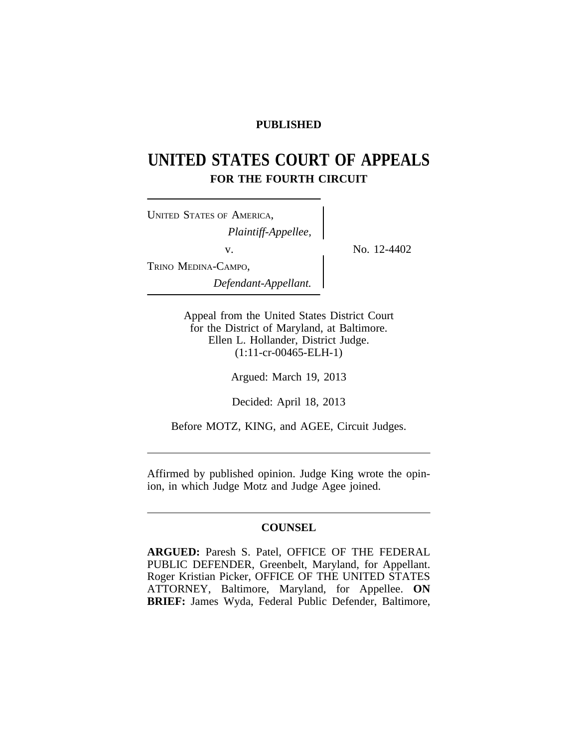# **PUBLISHED**

# **UNITED STATES COURT OF APPEALS FOR THE FOURTH CIRCUIT**

| <b>UNITED STATES OF AMERICA,</b> |  |
|----------------------------------|--|
| Plaintiff-Appellee,              |  |
| V.                               |  |
| TRINO MEDINA-CAMPO,              |  |
| Defendant-Appellant.             |  |

No. 12-4402

Appeal from the United States District Court for the District of Maryland, at Baltimore. Ellen L. Hollander, District Judge. (1:11-cr-00465-ELH-1)

Argued: March 19, 2013

Decided: April 18, 2013

Before MOTZ, KING, and AGEE, Circuit Judges.

Affirmed by published opinion. Judge King wrote the opinion, in which Judge Motz and Judge Agee joined.

# **COUNSEL**

**ARGUED:** Paresh S. Patel, OFFICE OF THE FEDERAL PUBLIC DEFENDER, Greenbelt, Maryland, for Appellant. Roger Kristian Picker, OFFICE OF THE UNITED STATES ATTORNEY, Baltimore, Maryland, for Appellee. **ON BRIEF:** James Wyda, Federal Public Defender, Baltimore,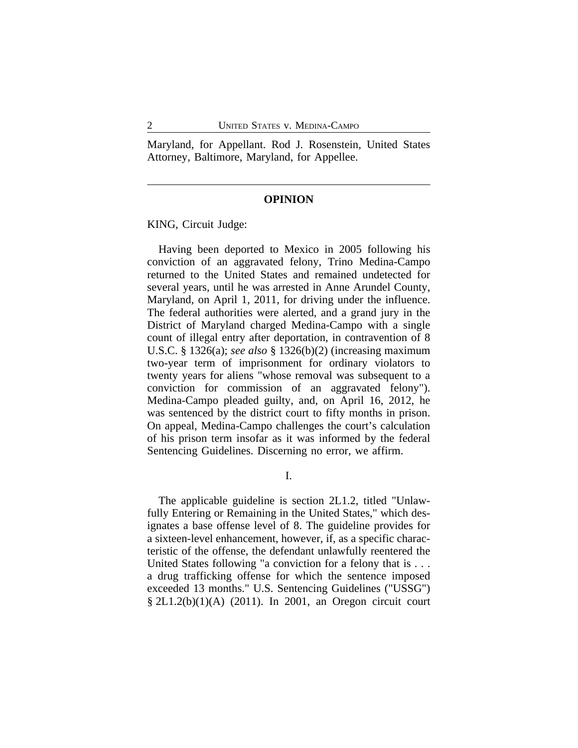Maryland, for Appellant. Rod J. Rosenstein, United States Attorney, Baltimore, Maryland, for Appellee.

#### **OPINION**

KING, Circuit Judge:

Having been deported to Mexico in 2005 following his conviction of an aggravated felony, Trino Medina-Campo returned to the United States and remained undetected for several years, until he was arrested in Anne Arundel County, Maryland, on April 1, 2011, for driving under the influence. The federal authorities were alerted, and a grand jury in the District of Maryland charged Medina-Campo with a single count of illegal entry after deportation, in contravention of 8 U.S.C. § 1326(a); *see also* § 1326(b)(2) (increasing maximum two-year term of imprisonment for ordinary violators to twenty years for aliens "whose removal was subsequent to a conviction for commission of an aggravated felony"). Medina-Campo pleaded guilty, and, on April 16, 2012, he was sentenced by the district court to fifty months in prison. On appeal, Medina-Campo challenges the court's calculation of his prison term insofar as it was informed by the federal Sentencing Guidelines. Discerning no error, we affirm.

I.

The applicable guideline is section 2L1.2, titled "Unlawfully Entering or Remaining in the United States," which designates a base offense level of 8. The guideline provides for a sixteen-level enhancement, however, if, as a specific characteristic of the offense, the defendant unlawfully reentered the United States following "a conviction for a felony that is . . . a drug trafficking offense for which the sentence imposed exceeded 13 months." U.S. Sentencing Guidelines ("USSG") § 2L1.2(b)(1)(A) (2011). In 2001, an Oregon circuit court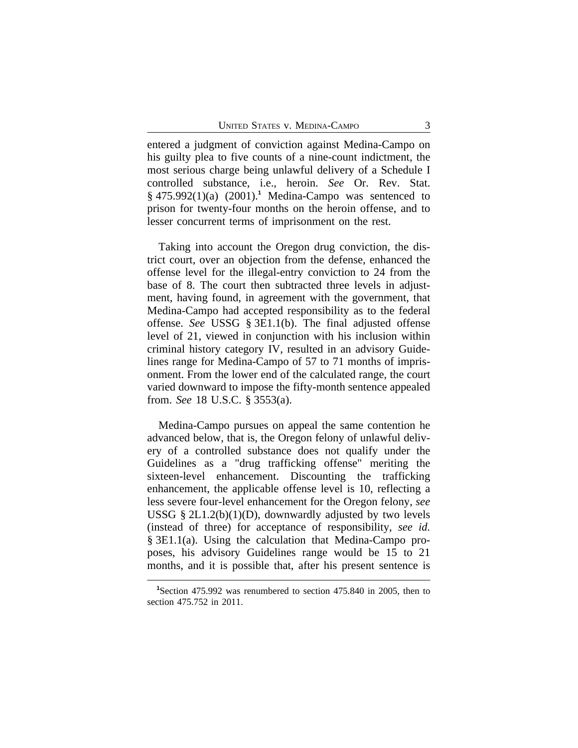entered a judgment of conviction against Medina-Campo on his guilty plea to five counts of a nine-count indictment, the most serious charge being unlawful delivery of a Schedule I controlled substance, i.e., heroin. *See* Or. Rev. Stat. § 475.992(1)(a) (2001).**<sup>1</sup>** Medina-Campo was sentenced to prison for twenty-four months on the heroin offense, and to lesser concurrent terms of imprisonment on the rest.

Taking into account the Oregon drug conviction, the district court, over an objection from the defense, enhanced the offense level for the illegal-entry conviction to 24 from the base of 8. The court then subtracted three levels in adjustment, having found, in agreement with the government, that Medina-Campo had accepted responsibility as to the federal offense. *See* USSG § 3E1.1(b). The final adjusted offense level of 21, viewed in conjunction with his inclusion within criminal history category IV, resulted in an advisory Guidelines range for Medina-Campo of 57 to 71 months of imprisonment. From the lower end of the calculated range, the court varied downward to impose the fifty-month sentence appealed from. *See* 18 U.S.C. § 3553(a).

Medina-Campo pursues on appeal the same contention he advanced below, that is, the Oregon felony of unlawful delivery of a controlled substance does not qualify under the Guidelines as a "drug trafficking offense" meriting the sixteen-level enhancement. Discounting the trafficking enhancement, the applicable offense level is 10, reflecting a less severe four-level enhancement for the Oregon felony, *see* USSG  $\S 2L1.2(b)(1)(D)$ , downwardly adjusted by two levels (instead of three) for acceptance of responsibility, *see id.* § 3E1.1(a). Using the calculation that Medina-Campo proposes, his advisory Guidelines range would be 15 to 21 months, and it is possible that, after his present sentence is

**<sup>1</sup>**Section 475.992 was renumbered to section 475.840 in 2005, then to section 475.752 in 2011.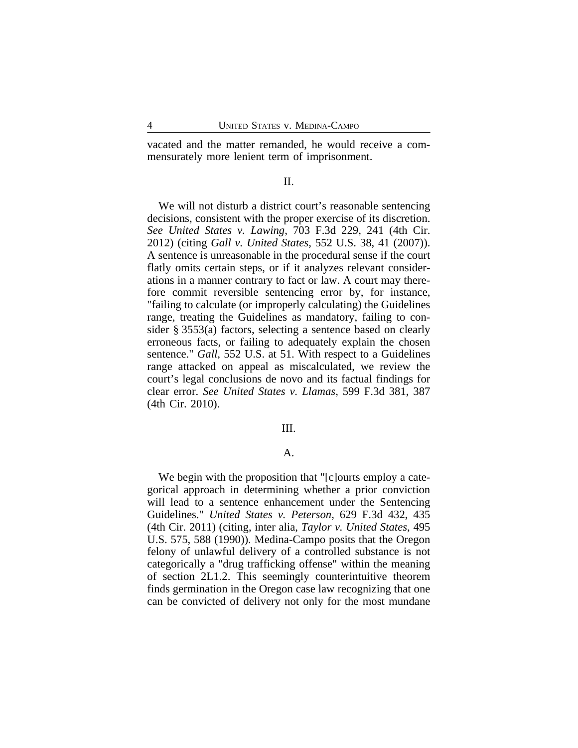vacated and the matter remanded, he would receive a commensurately more lenient term of imprisonment.

# II.

We will not disturb a district court's reasonable sentencing decisions, consistent with the proper exercise of its discretion. *See United States v. Lawing*, 703 F.3d 229, 241 (4th Cir. 2012) (citing *Gall v. United States*, 552 U.S. 38, 41 (2007)). A sentence is unreasonable in the procedural sense if the court flatly omits certain steps, or if it analyzes relevant considerations in a manner contrary to fact or law. A court may therefore commit reversible sentencing error by, for instance, "failing to calculate (or improperly calculating) the Guidelines range, treating the Guidelines as mandatory, failing to consider § 3553(a) factors, selecting a sentence based on clearly erroneous facts, or failing to adequately explain the chosen sentence." *Gall*, 552 U.S. at 51. With respect to a Guidelines range attacked on appeal as miscalculated, we review the court's legal conclusions de novo and its factual findings for clear error. *See United States v. Llamas*, 599 F.3d 381, 387 (4th Cir. 2010).

#### III.

# A.

We begin with the proposition that "[c]ourts employ a categorical approach in determining whether a prior conviction will lead to a sentence enhancement under the Sentencing Guidelines." *United States v. Peterson*, 629 F.3d 432, 435 (4th Cir. 2011) (citing, inter alia, *Taylor v. United States*, 495 U.S. 575, 588 (1990)). Medina-Campo posits that the Oregon felony of unlawful delivery of a controlled substance is not categorically a "drug trafficking offense" within the meaning of section 2L1.2. This seemingly counterintuitive theorem finds germination in the Oregon case law recognizing that one can be convicted of delivery not only for the most mundane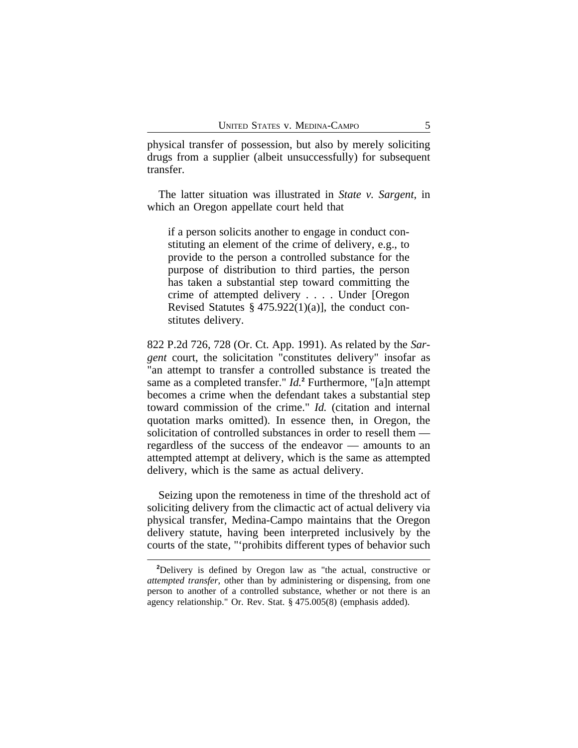physical transfer of possession, but also by merely soliciting drugs from a supplier (albeit unsuccessfully) for subsequent transfer.

The latter situation was illustrated in *State v. Sargent*, in which an Oregon appellate court held that

if a person solicits another to engage in conduct constituting an element of the crime of delivery, e.g., to provide to the person a controlled substance for the purpose of distribution to third parties, the person has taken a substantial step toward committing the crime of attempted delivery . . . . Under [Oregon Revised Statutes § 475.922(1)(a)], the conduct constitutes delivery.

822 P.2d 726, 728 (Or. Ct. App. 1991). As related by the *Sargent* court, the solicitation "constitutes delivery" insofar as "an attempt to transfer a controlled substance is treated the same as a completed transfer." *Id.***<sup>2</sup>** Furthermore, "[a]n attempt becomes a crime when the defendant takes a substantial step toward commission of the crime." *Id.* (citation and internal quotation marks omitted). In essence then, in Oregon, the solicitation of controlled substances in order to resell them regardless of the success of the endeavor — amounts to an attempted attempt at delivery, which is the same as attempted delivery, which is the same as actual delivery.

Seizing upon the remoteness in time of the threshold act of soliciting delivery from the climactic act of actual delivery via physical transfer, Medina-Campo maintains that the Oregon delivery statute, having been interpreted inclusively by the courts of the state, "'prohibits different types of behavior such

**<sup>2</sup>**Delivery is defined by Oregon law as "the actual, constructive or *attempted transfer*, other than by administering or dispensing, from one person to another of a controlled substance, whether or not there is an agency relationship." Or. Rev. Stat. § 475.005(8) (emphasis added).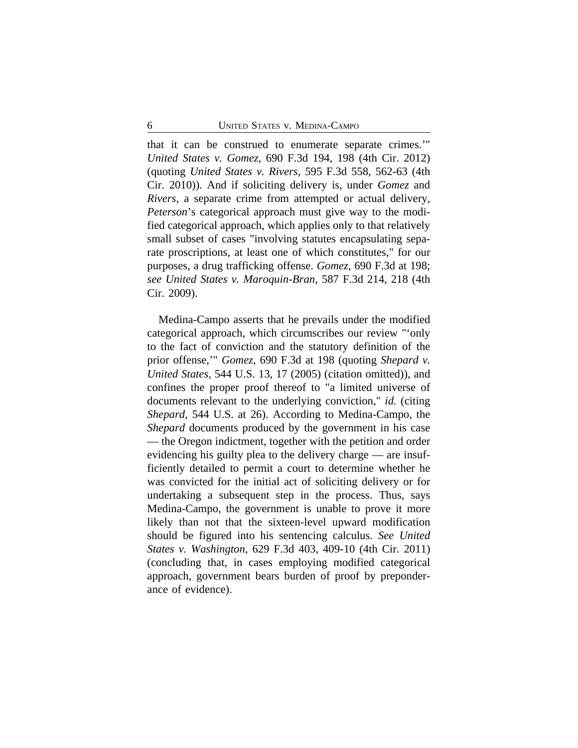that it can be construed to enumerate separate crimes.'" *United States v. Gomez*, 690 F.3d 194, 198 (4th Cir. 2012) (quoting *United States v. Rivers*, 595 F.3d 558, 562-63 (4th Cir. 2010)). And if soliciting delivery is, under *Gomez* and *Rivers*, a separate crime from attempted or actual delivery, *Peterson*'s categorical approach must give way to the modified categorical approach, which applies only to that relatively small subset of cases "involving statutes encapsulating separate proscriptions, at least one of which constitutes," for our purposes, a drug trafficking offense. *Gomez*, 690 F.3d at 198; *see United States v. Maroquin-Bran*, 587 F.3d 214, 218 (4th Cir. 2009).

Medina-Campo asserts that he prevails under the modified categorical approach, which circumscribes our review "'only to the fact of conviction and the statutory definition of the prior offense,'" *Gomez*, 690 F.3d at 198 (quoting *Shepard v. United States*, 544 U.S. 13, 17 (2005) (citation omitted)), and confines the proper proof thereof to "a limited universe of documents relevant to the underlying conviction," *id.* (citing *Shepard*, 544 U.S. at 26). According to Medina-Campo, the *Shepard* documents produced by the government in his case — the Oregon indictment, together with the petition and order evidencing his guilty plea to the delivery charge — are insufficiently detailed to permit a court to determine whether he was convicted for the initial act of soliciting delivery or for undertaking a subsequent step in the process. Thus, says Medina-Campo, the government is unable to prove it more likely than not that the sixteen-level upward modification should be figured into his sentencing calculus. *See United States v. Washington*, 629 F.3d 403, 409-10 (4th Cir. 2011) (concluding that, in cases employing modified categorical approach, government bears burden of proof by preponderance of evidence).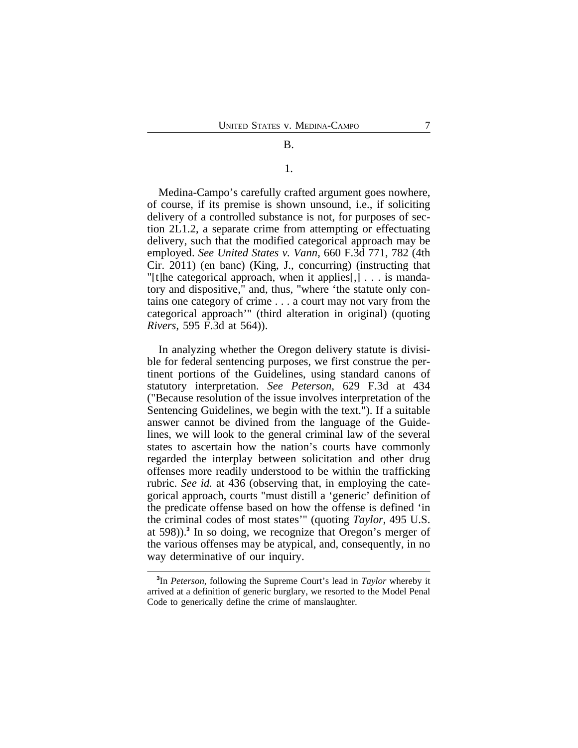#### B.

# 1.

Medina-Campo's carefully crafted argument goes nowhere, of course, if its premise is shown unsound, i.e., if soliciting delivery of a controlled substance is not, for purposes of section 2L1.2, a separate crime from attempting or effectuating delivery, such that the modified categorical approach may be employed. *See United States v. Vann*, 660 F.3d 771, 782 (4th Cir. 2011) (en banc) (King, J., concurring) (instructing that "[t]he categorical approach, when it applies[,] . . . is mandatory and dispositive," and, thus, "where 'the statute only contains one category of crime . . . a court may not vary from the categorical approach'" (third alteration in original) (quoting *Rivers*, 595 F.3d at 564)).

In analyzing whether the Oregon delivery statute is divisible for federal sentencing purposes, we first construe the pertinent portions of the Guidelines, using standard canons of statutory interpretation. *See Peterson*, 629 F.3d at 434 ("Because resolution of the issue involves interpretation of the Sentencing Guidelines, we begin with the text."). If a suitable answer cannot be divined from the language of the Guidelines, we will look to the general criminal law of the several states to ascertain how the nation's courts have commonly regarded the interplay between solicitation and other drug offenses more readily understood to be within the trafficking rubric. *See id.* at 436 (observing that, in employing the categorical approach, courts "must distill a 'generic' definition of the predicate offense based on how the offense is defined 'in the criminal codes of most states'" (quoting *Taylor*, 495 U.S. at 598)).**<sup>3</sup>** In so doing, we recognize that Oregon's merger of the various offenses may be atypical, and, consequently, in no way determinative of our inquiry.

**<sup>3</sup>** In *Peterson*, following the Supreme Court's lead in *Taylor* whereby it arrived at a definition of generic burglary, we resorted to the Model Penal Code to generically define the crime of manslaughter.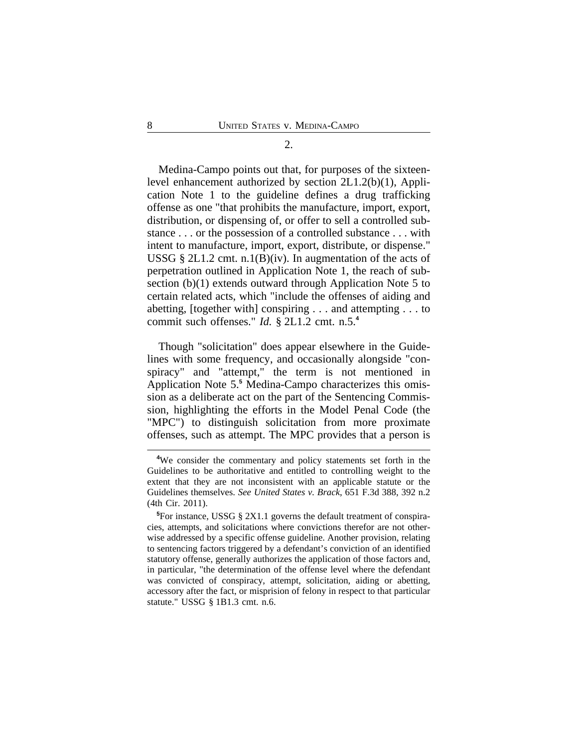#### 2.

Medina-Campo points out that, for purposes of the sixteenlevel enhancement authorized by section 2L1.2(b)(1), Application Note 1 to the guideline defines a drug trafficking offense as one "that prohibits the manufacture, import, export, distribution, or dispensing of, or offer to sell a controlled substance . . . or the possession of a controlled substance . . . with intent to manufacture, import, export, distribute, or dispense." USSG § 2L1.2 cmt. n.1(B)(iv). In augmentation of the acts of perpetration outlined in Application Note 1, the reach of subsection (b)(1) extends outward through Application Note 5 to certain related acts, which "include the offenses of aiding and abetting, [together with] conspiring . . . and attempting . . . to commit such offenses." *Id.* § 2L1.2 cmt. n.5.**<sup>4</sup>**

Though "solicitation" does appear elsewhere in the Guidelines with some frequency, and occasionally alongside "conspiracy" and "attempt," the term is not mentioned in Application Note 5.**<sup>5</sup>** Medina-Campo characterizes this omission as a deliberate act on the part of the Sentencing Commission, highlighting the efforts in the Model Penal Code (the "MPC") to distinguish solicitation from more proximate offenses, such as attempt. The MPC provides that a person is

**<sup>4</sup>**We consider the commentary and policy statements set forth in the Guidelines to be authoritative and entitled to controlling weight to the extent that they are not inconsistent with an applicable statute or the Guidelines themselves. *See United States v. Brack*, 651 F.3d 388, 392 n.2 (4th Cir. 2011).

**<sup>5</sup>**For instance, USSG § 2X1.1 governs the default treatment of conspiracies, attempts, and solicitations where convictions therefor are not otherwise addressed by a specific offense guideline. Another provision, relating to sentencing factors triggered by a defendant's conviction of an identified statutory offense, generally authorizes the application of those factors and, in particular, "the determination of the offense level where the defendant was convicted of conspiracy, attempt, solicitation, aiding or abetting, accessory after the fact, or misprision of felony in respect to that particular statute." USSG § 1B1.3 cmt. n.6.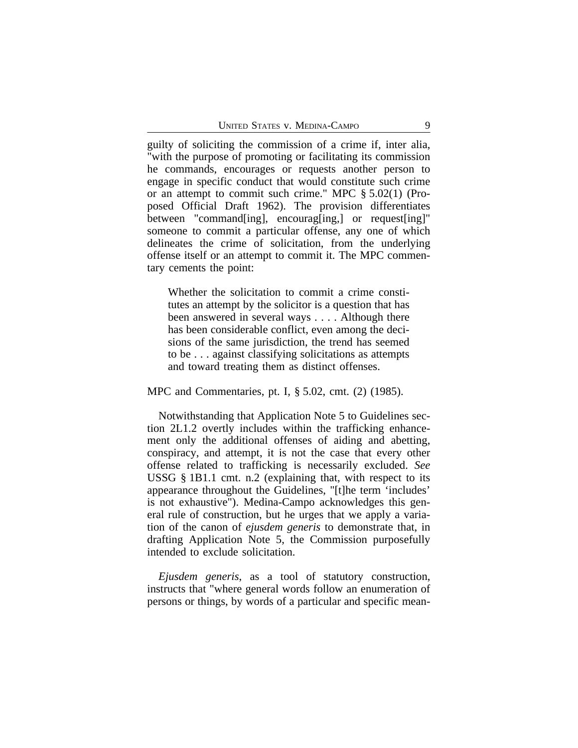guilty of soliciting the commission of a crime if, inter alia, "with the purpose of promoting or facilitating its commission he commands, encourages or requests another person to engage in specific conduct that would constitute such crime or an attempt to commit such crime." MPC § 5.02(1) (Proposed Official Draft 1962). The provision differentiates between "command[ing], encourag[ing,] or request[ing]" someone to commit a particular offense, any one of which delineates the crime of solicitation, from the underlying offense itself or an attempt to commit it. The MPC commentary cements the point:

Whether the solicitation to commit a crime constitutes an attempt by the solicitor is a question that has been answered in several ways . . . . Although there has been considerable conflict, even among the decisions of the same jurisdiction, the trend has seemed to be . . . against classifying solicitations as attempts and toward treating them as distinct offenses.

MPC and Commentaries, pt. I, § 5.02, cmt. (2) (1985).

Notwithstanding that Application Note 5 to Guidelines section 2L1.2 overtly includes within the trafficking enhancement only the additional offenses of aiding and abetting, conspiracy, and attempt, it is not the case that every other offense related to trafficking is necessarily excluded. *See* USSG § 1B1.1 cmt. n.2 (explaining that, with respect to its appearance throughout the Guidelines, "[t]he term 'includes' is not exhaustive"). Medina-Campo acknowledges this general rule of construction, but he urges that we apply a variation of the canon of *ejusdem generis* to demonstrate that, in drafting Application Note 5, the Commission purposefully intended to exclude solicitation.

*Ejusdem generis*, as a tool of statutory construction, instructs that "where general words follow an enumeration of persons or things, by words of a particular and specific mean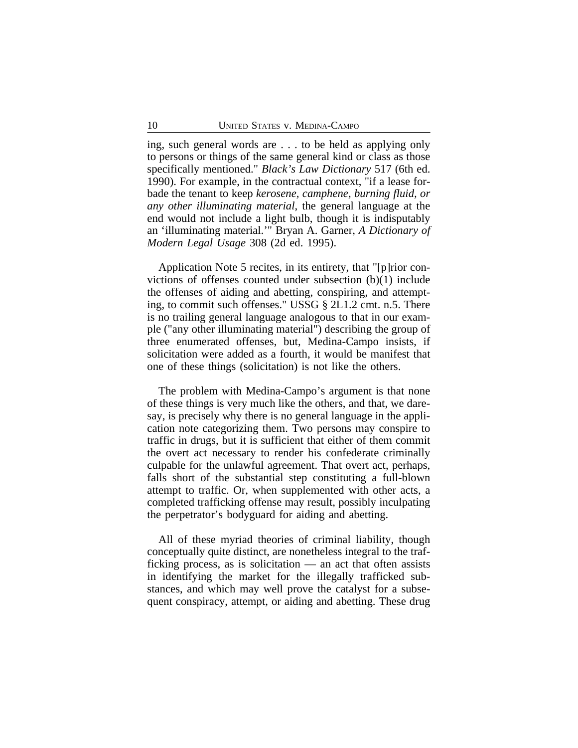ing, such general words are . . . to be held as applying only to persons or things of the same general kind or class as those specifically mentioned." *Black's Law Dictionary* 517 (6th ed. 1990). For example, in the contractual context, "if a lease forbade the tenant to keep *kerosene, camphene, burning fluid, or any other illuminating material*, the general language at the end would not include a light bulb, though it is indisputably an 'illuminating material.'" Bryan A. Garner, *A Dictionary of Modern Legal Usage* 308 (2d ed. 1995).

Application Note 5 recites, in its entirety, that "[p]rior convictions of offenses counted under subsection (b)(1) include the offenses of aiding and abetting, conspiring, and attempting, to commit such offenses." USSG § 2L1.2 cmt. n.5. There is no trailing general language analogous to that in our example ("any other illuminating material") describing the group of three enumerated offenses, but, Medina-Campo insists, if solicitation were added as a fourth, it would be manifest that one of these things (solicitation) is not like the others.

The problem with Medina-Campo's argument is that none of these things is very much like the others, and that, we daresay, is precisely why there is no general language in the application note categorizing them. Two persons may conspire to traffic in drugs, but it is sufficient that either of them commit the overt act necessary to render his confederate criminally culpable for the unlawful agreement. That overt act, perhaps, falls short of the substantial step constituting a full-blown attempt to traffic. Or, when supplemented with other acts, a completed trafficking offense may result, possibly inculpating the perpetrator's bodyguard for aiding and abetting.

All of these myriad theories of criminal liability, though conceptually quite distinct, are nonetheless integral to the trafficking process, as is solicitation — an act that often assists in identifying the market for the illegally trafficked substances, and which may well prove the catalyst for a subsequent conspiracy, attempt, or aiding and abetting. These drug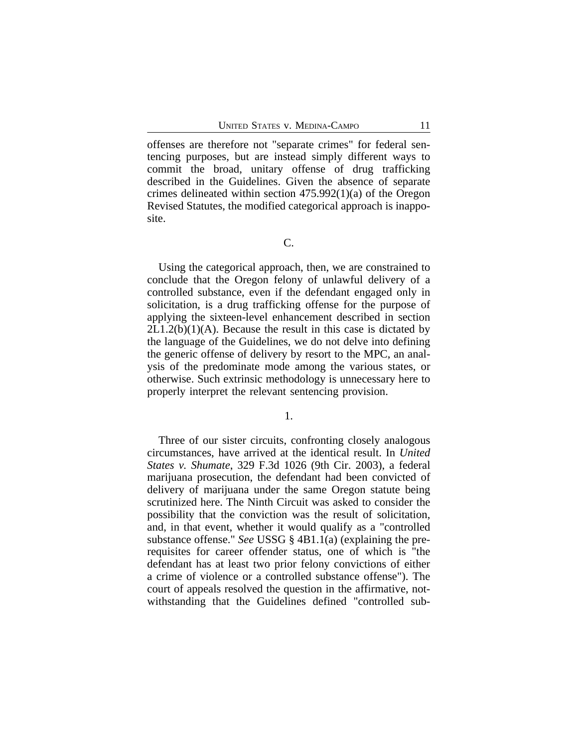offenses are therefore not "separate crimes" for federal sentencing purposes, but are instead simply different ways to commit the broad, unitary offense of drug trafficking described in the Guidelines. Given the absence of separate crimes delineated within section 475.992(1)(a) of the Oregon Revised Statutes, the modified categorical approach is inapposite.

Using the categorical approach, then, we are constrained to conclude that the Oregon felony of unlawful delivery of a controlled substance, even if the defendant engaged only in solicitation, is a drug trafficking offense for the purpose of applying the sixteen-level enhancement described in section  $2L1.2(b)(1)(A)$ . Because the result in this case is dictated by the language of the Guidelines, we do not delve into defining the generic offense of delivery by resort to the MPC, an analysis of the predominate mode among the various states, or otherwise. Such extrinsic methodology is unnecessary here to properly interpret the relevant sentencing provision.

1.

Three of our sister circuits, confronting closely analogous circumstances, have arrived at the identical result. In *United States v. Shumate*, 329 F.3d 1026 (9th Cir. 2003), a federal marijuana prosecution, the defendant had been convicted of delivery of marijuana under the same Oregon statute being scrutinized here. The Ninth Circuit was asked to consider the possibility that the conviction was the result of solicitation, and, in that event, whether it would qualify as a "controlled substance offense." *See* USSG § 4B1.1(a) (explaining the prerequisites for career offender status, one of which is "the defendant has at least two prior felony convictions of either a crime of violence or a controlled substance offense"). The court of appeals resolved the question in the affirmative, notwithstanding that the Guidelines defined "controlled sub-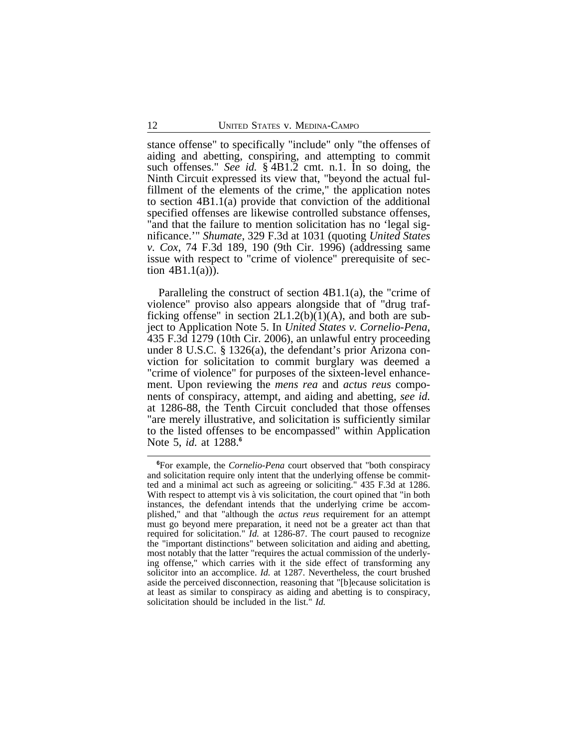stance offense" to specifically "include" only "the offenses of aiding and abetting, conspiring, and attempting to commit such offenses." *See id.* § 4B1.2 cmt. n.1. In so doing, the Ninth Circuit expressed its view that, "beyond the actual fulfillment of the elements of the crime," the application notes to section 4B1.1(a) provide that conviction of the additional specified offenses are likewise controlled substance offenses, "and that the failure to mention solicitation has no 'legal significance.'" *Shumate*, 329 F.3d at 1031 (quoting *United States v. Cox*, 74 F.3d 189, 190 (9th Cir. 1996) (addressing same issue with respect to "crime of violence" prerequisite of section  $4B1.1(a)$ ).

Paralleling the construct of section 4B1.1(a), the "crime of violence" proviso also appears alongside that of "drug trafficking offense" in section  $2L1.2(b)(1)(A)$ , and both are subject to Application Note 5. In *United States v. Cornelio-Pena*, 435 F.3d 1279 (10th Cir. 2006), an unlawful entry proceeding under 8 U.S.C. § 1326(a), the defendant's prior Arizona conviction for solicitation to commit burglary was deemed a "crime of violence" for purposes of the sixteen-level enhancement. Upon reviewing the *mens rea* and *actus reus* components of conspiracy, attempt, and aiding and abetting, *see id.* at 1286-88, the Tenth Circuit concluded that those offenses "are merely illustrative, and solicitation is sufficiently similar to the listed offenses to be encompassed" within Application Note 5, *id.* at 1288.**<sup>6</sup>**

**<sup>6</sup>**For example, the *Cornelio-Pena* court observed that "both conspiracy and solicitation require only intent that the underlying offense be committed and a minimal act such as agreeing or soliciting." 435 F.3d at 1286. With respect to attempt vis à vis solicitation, the court opined that "in both instances, the defendant intends that the underlying crime be accomplished," and that "although the *actus reus* requirement for an attempt must go beyond mere preparation, it need not be a greater act than that required for solicitation." *Id.* at 1286-87. The court paused to recognize the "important distinctions" between solicitation and aiding and abetting, most notably that the latter "requires the actual commission of the underlying offense," which carries with it the side effect of transforming any solicitor into an accomplice. *Id.* at 1287. Nevertheless, the court brushed aside the perceived disconnection, reasoning that "[b]ecause solicitation is at least as similar to conspiracy as aiding and abetting is to conspiracy, solicitation should be included in the list." *Id.*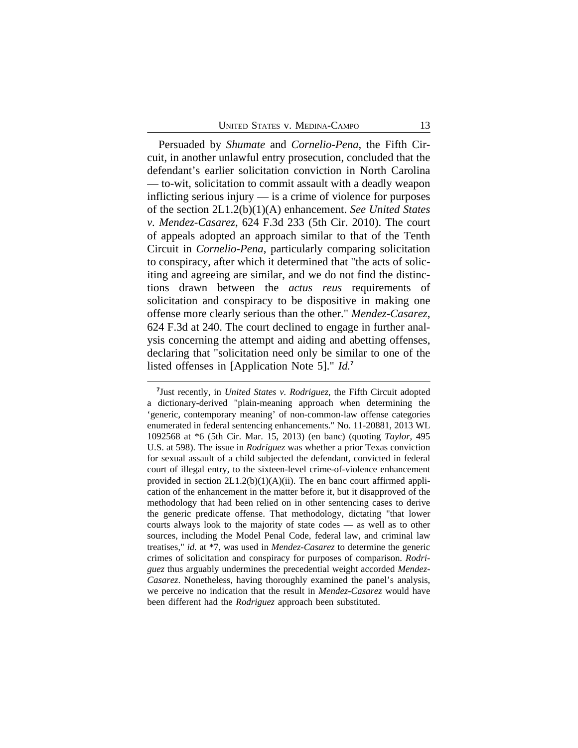Persuaded by *Shumate* and *Cornelio-Pena*, the Fifth Circuit, in another unlawful entry prosecution, concluded that the defendant's earlier solicitation conviction in North Carolina — to-wit, solicitation to commit assault with a deadly weapon inflicting serious injury — is a crime of violence for purposes of the section 2L1.2(b)(1)(A) enhancement. *See United States v. Mendez-Casarez*, 624 F.3d 233 (5th Cir. 2010). The court of appeals adopted an approach similar to that of the Tenth Circuit in *Cornelio-Pena*, particularly comparing solicitation to conspiracy, after which it determined that "the acts of soliciting and agreeing are similar, and we do not find the distinctions drawn between the *actus reus* requirements of solicitation and conspiracy to be dispositive in making one offense more clearly serious than the other." *Mendez-Casarez*, 624 F.3d at 240. The court declined to engage in further analysis concerning the attempt and aiding and abetting offenses, declaring that "solicitation need only be similar to one of the listed offenses in [Application Note 5]." *Id.***<sup>7</sup>**

**<sup>7</sup>** Just recently, in *United States v. Rodriguez*, the Fifth Circuit adopted a dictionary-derived "plain-meaning approach when determining the 'generic, contemporary meaning' of non-common-law offense categories enumerated in federal sentencing enhancements." No. 11-20881, 2013 WL 1092568 at \*6 (5th Cir. Mar. 15, 2013) (en banc) (quoting *Taylor*, 495 U.S. at 598). The issue in *Rodriguez* was whether a prior Texas conviction for sexual assault of a child subjected the defendant, convicted in federal court of illegal entry, to the sixteen-level crime-of-violence enhancement provided in section  $2L1.2(b)(1)(A)(ii)$ . The en banc court affirmed application of the enhancement in the matter before it, but it disapproved of the methodology that had been relied on in other sentencing cases to derive the generic predicate offense. That methodology, dictating "that lower courts always look to the majority of state codes — as well as to other sources, including the Model Penal Code, federal law, and criminal law treatises," *id.* at \*7, was used in *Mendez-Casarez* to determine the generic crimes of solicitation and conspiracy for purposes of comparison. *Rodriguez* thus arguably undermines the precedential weight accorded *Mendez-Casarez*. Nonetheless, having thoroughly examined the panel's analysis, we perceive no indication that the result in *Mendez-Casarez* would have been different had the *Rodriguez* approach been substituted.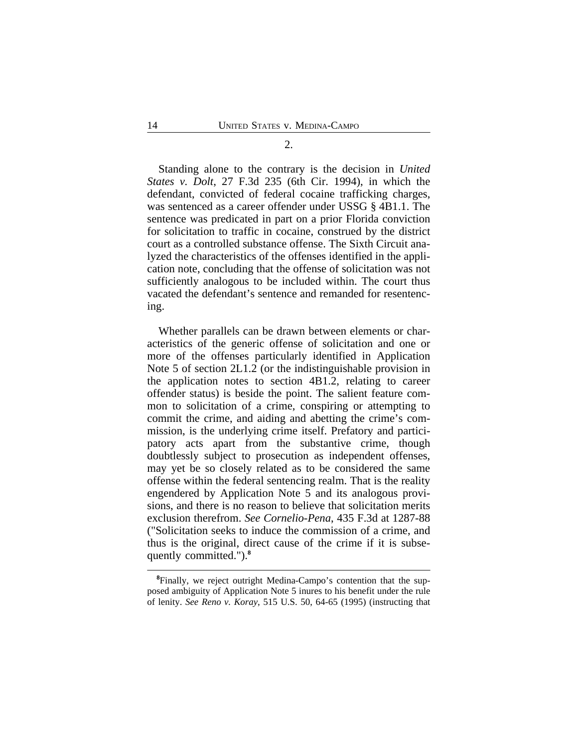Standing alone to the contrary is the decision in *United States v. Dolt*, 27 F.3d 235 (6th Cir. 1994), in which the defendant, convicted of federal cocaine trafficking charges, was sentenced as a career offender under USSG § 4B1.1. The sentence was predicated in part on a prior Florida conviction for solicitation to traffic in cocaine, construed by the district court as a controlled substance offense. The Sixth Circuit analyzed the characteristics of the offenses identified in the application note, concluding that the offense of solicitation was not sufficiently analogous to be included within. The court thus vacated the defendant's sentence and remanded for resentencing.

Whether parallels can be drawn between elements or characteristics of the generic offense of solicitation and one or more of the offenses particularly identified in Application Note 5 of section 2L1.2 (or the indistinguishable provision in the application notes to section 4B1.2, relating to career offender status) is beside the point. The salient feature common to solicitation of a crime, conspiring or attempting to commit the crime, and aiding and abetting the crime's commission, is the underlying crime itself. Prefatory and participatory acts apart from the substantive crime, though doubtlessly subject to prosecution as independent offenses, may yet be so closely related as to be considered the same offense within the federal sentencing realm. That is the reality engendered by Application Note 5 and its analogous provisions, and there is no reason to believe that solicitation merits exclusion therefrom. *See Cornelio-Pena*, 435 F.3d at 1287-88 ("Solicitation seeks to induce the commission of a crime, and thus is the original, direct cause of the crime if it is subsequently committed.").**<sup>8</sup>**

**<sup>8</sup>**Finally, we reject outright Medina-Campo's contention that the supposed ambiguity of Application Note 5 inures to his benefit under the rule of lenity. *See Reno v. Koray*, 515 U.S. 50, 64-65 (1995) (instructing that